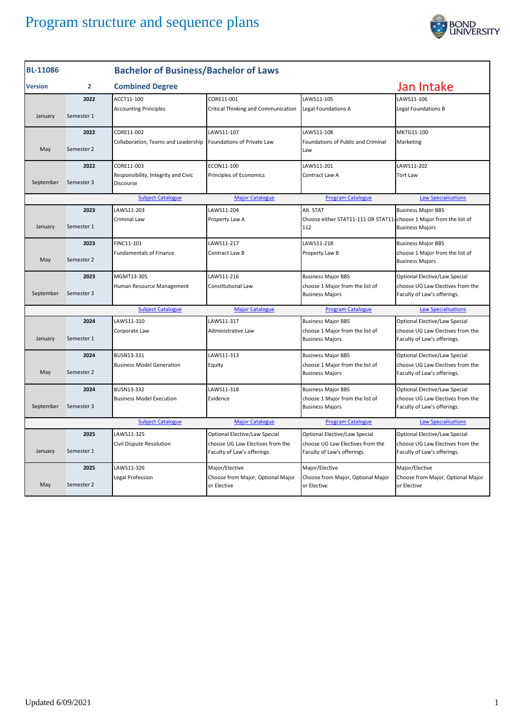

| <b>Combined Degree</b><br>Jan Intake<br>2<br><b>Version</b><br>LAWS11-106<br>2022<br>ACCT11-100<br>CORE11-001<br>LAWS11-105<br><b>Accounting Principles</b><br>Critical Thinking and Communication<br>Legal Foundations A<br>Legal Foundations B<br>January<br>Semester 1<br>2022<br>CORE11-002<br>LAWS11-107<br>LAWS11-108<br>MKTG11-100<br>Collaboration, Teams and Leadership Foundations of Private Law<br>Foundations of Public and Criminal<br>Marketing<br>May<br>Semester 2<br>Law<br>CORE11-003<br>LAWS11-201<br>LAWS11-202<br>2022<br>ECON11-100<br>Responsibility, Integrity and Civic<br>Principles of Economics<br>Contract Law A<br><b>Tort Law</b><br>September<br>Semester 3<br>Discourse<br><b>Major Catalogue</b><br><b>Subject Catalogue</b><br><b>Program Catalogue</b><br>2023<br>LAWS11-203<br>LAWS11-204<br>Alt. STAT<br><b>Business Major BBS</b><br>Criminal Law<br>Property Law A<br>Choose either STAT11-111 OR STAT11-choose 1 Major from the list of<br>January<br>Semester 1<br>112<br><b>Business Majors</b><br>2023<br>FINC11-101<br>LAWS11-217<br>LAWS11-218<br><b>Business Major BBS</b><br><b>Fundamentals of Finance</b><br>Property Law B<br>Contract Law B<br>May<br>Semester 2<br><b>Business Majors</b><br>2023<br>MGMT13-305<br>LAWS11-216<br><b>Business Major BBS</b><br>Human Resource Management<br>Constitutional Law<br>choose 1 Major from the list of<br>September<br>Semester 3<br><b>Business Majors</b><br>Faculty of Law's offerings.<br><b>Subject Catalogue</b><br><b>Major Catalogue</b><br><b>Program Catalogue</b><br>LAWS11-310<br>LAWS11-317<br>2024<br><b>Business Major BBS</b><br>Corporate Law<br>Administrative Law<br>choose 1 Major from the list of<br>January<br>Semester 1<br><b>Business Majors</b><br>Faculty of Law's offerings.<br>2024<br>LAWS11-313<br>BUSN13-331<br><b>Business Major BBS</b><br><b>Business Model Generation</b><br>Equity<br>choose 1 Major from the list of<br>May<br>Semester 2<br><b>Business Majors</b><br>Faculty of Law's offerings.<br>LAWS11-318<br>2024<br>BUSN13-332<br><b>Business Major BBS</b><br>Evidence<br><b>Business Model Execution</b><br>choose 1 Major from the list of<br>September<br>Semester 3<br>Faculty of Law's offerings.<br><b>Business Majors</b><br><b>Subject Catalogue</b><br><b>Major Catalogue</b><br><b>Program Catalogue</b> | <b>BL-11086</b> |      | <b>Bachelor of Business/Bachelor of Laws</b> |                               |                               |                                   |  |
|--------------------------------------------------------------------------------------------------------------------------------------------------------------------------------------------------------------------------------------------------------------------------------------------------------------------------------------------------------------------------------------------------------------------------------------------------------------------------------------------------------------------------------------------------------------------------------------------------------------------------------------------------------------------------------------------------------------------------------------------------------------------------------------------------------------------------------------------------------------------------------------------------------------------------------------------------------------------------------------------------------------------------------------------------------------------------------------------------------------------------------------------------------------------------------------------------------------------------------------------------------------------------------------------------------------------------------------------------------------------------------------------------------------------------------------------------------------------------------------------------------------------------------------------------------------------------------------------------------------------------------------------------------------------------------------------------------------------------------------------------------------------------------------------------------------------------------------------------------------------------------------------------------------------------------------------------------------------------------------------------------------------------------------------------------------------------------------------------------------------------------------------------------------------------------------------------------------------------------------------------------------------------------------------------------------------------------------------------------------------|-----------------|------|----------------------------------------------|-------------------------------|-------------------------------|-----------------------------------|--|
|                                                                                                                                                                                                                                                                                                                                                                                                                                                                                                                                                                                                                                                                                                                                                                                                                                                                                                                                                                                                                                                                                                                                                                                                                                                                                                                                                                                                                                                                                                                                                                                                                                                                                                                                                                                                                                                                                                                                                                                                                                                                                                                                                                                                                                                                                                                                                                    |                 |      |                                              |                               |                               |                                   |  |
|                                                                                                                                                                                                                                                                                                                                                                                                                                                                                                                                                                                                                                                                                                                                                                                                                                                                                                                                                                                                                                                                                                                                                                                                                                                                                                                                                                                                                                                                                                                                                                                                                                                                                                                                                                                                                                                                                                                                                                                                                                                                                                                                                                                                                                                                                                                                                                    |                 |      |                                              |                               |                               |                                   |  |
|                                                                                                                                                                                                                                                                                                                                                                                                                                                                                                                                                                                                                                                                                                                                                                                                                                                                                                                                                                                                                                                                                                                                                                                                                                                                                                                                                                                                                                                                                                                                                                                                                                                                                                                                                                                                                                                                                                                                                                                                                                                                                                                                                                                                                                                                                                                                                                    |                 |      |                                              |                               |                               |                                   |  |
|                                                                                                                                                                                                                                                                                                                                                                                                                                                                                                                                                                                                                                                                                                                                                                                                                                                                                                                                                                                                                                                                                                                                                                                                                                                                                                                                                                                                                                                                                                                                                                                                                                                                                                                                                                                                                                                                                                                                                                                                                                                                                                                                                                                                                                                                                                                                                                    |                 |      |                                              |                               |                               |                                   |  |
|                                                                                                                                                                                                                                                                                                                                                                                                                                                                                                                                                                                                                                                                                                                                                                                                                                                                                                                                                                                                                                                                                                                                                                                                                                                                                                                                                                                                                                                                                                                                                                                                                                                                                                                                                                                                                                                                                                                                                                                                                                                                                                                                                                                                                                                                                                                                                                    |                 |      |                                              |                               |                               |                                   |  |
|                                                                                                                                                                                                                                                                                                                                                                                                                                                                                                                                                                                                                                                                                                                                                                                                                                                                                                                                                                                                                                                                                                                                                                                                                                                                                                                                                                                                                                                                                                                                                                                                                                                                                                                                                                                                                                                                                                                                                                                                                                                                                                                                                                                                                                                                                                                                                                    |                 |      |                                              |                               |                               |                                   |  |
|                                                                                                                                                                                                                                                                                                                                                                                                                                                                                                                                                                                                                                                                                                                                                                                                                                                                                                                                                                                                                                                                                                                                                                                                                                                                                                                                                                                                                                                                                                                                                                                                                                                                                                                                                                                                                                                                                                                                                                                                                                                                                                                                                                                                                                                                                                                                                                    |                 |      |                                              |                               |                               |                                   |  |
|                                                                                                                                                                                                                                                                                                                                                                                                                                                                                                                                                                                                                                                                                                                                                                                                                                                                                                                                                                                                                                                                                                                                                                                                                                                                                                                                                                                                                                                                                                                                                                                                                                                                                                                                                                                                                                                                                                                                                                                                                                                                                                                                                                                                                                                                                                                                                                    |                 |      |                                              |                               |                               | <b>Law Specialisations</b>        |  |
|                                                                                                                                                                                                                                                                                                                                                                                                                                                                                                                                                                                                                                                                                                                                                                                                                                                                                                                                                                                                                                                                                                                                                                                                                                                                                                                                                                                                                                                                                                                                                                                                                                                                                                                                                                                                                                                                                                                                                                                                                                                                                                                                                                                                                                                                                                                                                                    |                 |      |                                              |                               |                               |                                   |  |
|                                                                                                                                                                                                                                                                                                                                                                                                                                                                                                                                                                                                                                                                                                                                                                                                                                                                                                                                                                                                                                                                                                                                                                                                                                                                                                                                                                                                                                                                                                                                                                                                                                                                                                                                                                                                                                                                                                                                                                                                                                                                                                                                                                                                                                                                                                                                                                    |                 |      |                                              |                               |                               |                                   |  |
|                                                                                                                                                                                                                                                                                                                                                                                                                                                                                                                                                                                                                                                                                                                                                                                                                                                                                                                                                                                                                                                                                                                                                                                                                                                                                                                                                                                                                                                                                                                                                                                                                                                                                                                                                                                                                                                                                                                                                                                                                                                                                                                                                                                                                                                                                                                                                                    |                 |      |                                              |                               |                               |                                   |  |
|                                                                                                                                                                                                                                                                                                                                                                                                                                                                                                                                                                                                                                                                                                                                                                                                                                                                                                                                                                                                                                                                                                                                                                                                                                                                                                                                                                                                                                                                                                                                                                                                                                                                                                                                                                                                                                                                                                                                                                                                                                                                                                                                                                                                                                                                                                                                                                    |                 |      |                                              |                               |                               | choose 1 Major from the list of   |  |
|                                                                                                                                                                                                                                                                                                                                                                                                                                                                                                                                                                                                                                                                                                                                                                                                                                                                                                                                                                                                                                                                                                                                                                                                                                                                                                                                                                                                                                                                                                                                                                                                                                                                                                                                                                                                                                                                                                                                                                                                                                                                                                                                                                                                                                                                                                                                                                    |                 |      |                                              |                               |                               | Optional Elective/Law Special     |  |
|                                                                                                                                                                                                                                                                                                                                                                                                                                                                                                                                                                                                                                                                                                                                                                                                                                                                                                                                                                                                                                                                                                                                                                                                                                                                                                                                                                                                                                                                                                                                                                                                                                                                                                                                                                                                                                                                                                                                                                                                                                                                                                                                                                                                                                                                                                                                                                    |                 |      |                                              |                               |                               | choose UG Law Electives from the  |  |
|                                                                                                                                                                                                                                                                                                                                                                                                                                                                                                                                                                                                                                                                                                                                                                                                                                                                                                                                                                                                                                                                                                                                                                                                                                                                                                                                                                                                                                                                                                                                                                                                                                                                                                                                                                                                                                                                                                                                                                                                                                                                                                                                                                                                                                                                                                                                                                    |                 |      |                                              |                               |                               | <b>Law Specialisations</b>        |  |
|                                                                                                                                                                                                                                                                                                                                                                                                                                                                                                                                                                                                                                                                                                                                                                                                                                                                                                                                                                                                                                                                                                                                                                                                                                                                                                                                                                                                                                                                                                                                                                                                                                                                                                                                                                                                                                                                                                                                                                                                                                                                                                                                                                                                                                                                                                                                                                    |                 |      |                                              |                               |                               | Optional Elective/Law Special     |  |
|                                                                                                                                                                                                                                                                                                                                                                                                                                                                                                                                                                                                                                                                                                                                                                                                                                                                                                                                                                                                                                                                                                                                                                                                                                                                                                                                                                                                                                                                                                                                                                                                                                                                                                                                                                                                                                                                                                                                                                                                                                                                                                                                                                                                                                                                                                                                                                    |                 |      |                                              |                               |                               | choose UG Law Electives from the  |  |
|                                                                                                                                                                                                                                                                                                                                                                                                                                                                                                                                                                                                                                                                                                                                                                                                                                                                                                                                                                                                                                                                                                                                                                                                                                                                                                                                                                                                                                                                                                                                                                                                                                                                                                                                                                                                                                                                                                                                                                                                                                                                                                                                                                                                                                                                                                                                                                    |                 |      |                                              |                               |                               | Optional Elective/Law Special     |  |
|                                                                                                                                                                                                                                                                                                                                                                                                                                                                                                                                                                                                                                                                                                                                                                                                                                                                                                                                                                                                                                                                                                                                                                                                                                                                                                                                                                                                                                                                                                                                                                                                                                                                                                                                                                                                                                                                                                                                                                                                                                                                                                                                                                                                                                                                                                                                                                    |                 |      |                                              |                               |                               | choose UG Law Electives from the  |  |
|                                                                                                                                                                                                                                                                                                                                                                                                                                                                                                                                                                                                                                                                                                                                                                                                                                                                                                                                                                                                                                                                                                                                                                                                                                                                                                                                                                                                                                                                                                                                                                                                                                                                                                                                                                                                                                                                                                                                                                                                                                                                                                                                                                                                                                                                                                                                                                    |                 |      |                                              |                               |                               | Optional Elective/Law Special     |  |
|                                                                                                                                                                                                                                                                                                                                                                                                                                                                                                                                                                                                                                                                                                                                                                                                                                                                                                                                                                                                                                                                                                                                                                                                                                                                                                                                                                                                                                                                                                                                                                                                                                                                                                                                                                                                                                                                                                                                                                                                                                                                                                                                                                                                                                                                                                                                                                    |                 |      |                                              |                               |                               | choose UG Law Electives from the  |  |
|                                                                                                                                                                                                                                                                                                                                                                                                                                                                                                                                                                                                                                                                                                                                                                                                                                                                                                                                                                                                                                                                                                                                                                                                                                                                                                                                                                                                                                                                                                                                                                                                                                                                                                                                                                                                                                                                                                                                                                                                                                                                                                                                                                                                                                                                                                                                                                    |                 |      |                                              |                               |                               | <b>Law Specialisations</b>        |  |
|                                                                                                                                                                                                                                                                                                                                                                                                                                                                                                                                                                                                                                                                                                                                                                                                                                                                                                                                                                                                                                                                                                                                                                                                                                                                                                                                                                                                                                                                                                                                                                                                                                                                                                                                                                                                                                                                                                                                                                                                                                                                                                                                                                                                                                                                                                                                                                    |                 | 2025 | LAWS11-325                                   | Optional Elective/Law Special | Optional Elective/Law Special | Optional Elective/Law Special     |  |
| choose UG Law Electives from the<br>choose UG Law Electives from the<br>Civil Dispute Resolution<br>January<br>Semester 1<br>Faculty of Law's offerings.<br>Faculty of Law's offerings.<br>Faculty of Law's offerings.                                                                                                                                                                                                                                                                                                                                                                                                                                                                                                                                                                                                                                                                                                                                                                                                                                                                                                                                                                                                                                                                                                                                                                                                                                                                                                                                                                                                                                                                                                                                                                                                                                                                                                                                                                                                                                                                                                                                                                                                                                                                                                                                             |                 |      |                                              |                               |                               | choose UG Law Electives from the  |  |
| 2025<br>LAWS11-326<br>Major/Elective<br>Major/Elective<br>Major/Elective                                                                                                                                                                                                                                                                                                                                                                                                                                                                                                                                                                                                                                                                                                                                                                                                                                                                                                                                                                                                                                                                                                                                                                                                                                                                                                                                                                                                                                                                                                                                                                                                                                                                                                                                                                                                                                                                                                                                                                                                                                                                                                                                                                                                                                                                                           |                 |      |                                              |                               |                               |                                   |  |
| Legal Profession<br>Choose from Major, Optional Major<br>Choose from Major, Optional Major<br>May<br>Semester 2<br>or Elective<br>or Elective<br>or Elective                                                                                                                                                                                                                                                                                                                                                                                                                                                                                                                                                                                                                                                                                                                                                                                                                                                                                                                                                                                                                                                                                                                                                                                                                                                                                                                                                                                                                                                                                                                                                                                                                                                                                                                                                                                                                                                                                                                                                                                                                                                                                                                                                                                                       |                 |      |                                              |                               |                               | Choose from Major, Optional Major |  |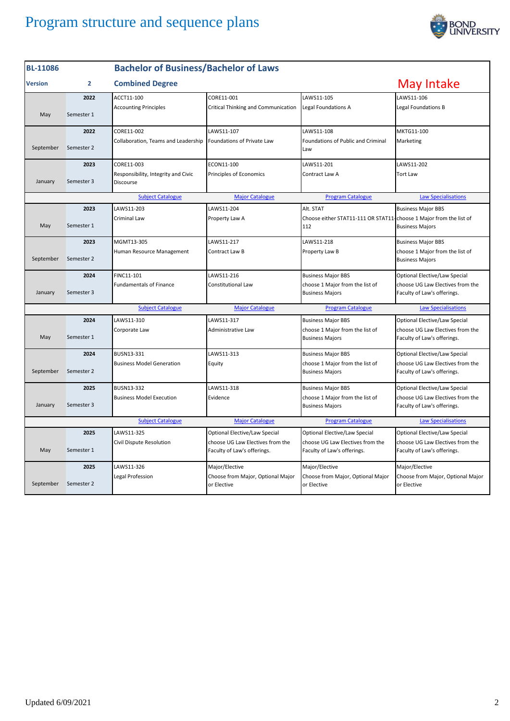

| <b>BL-11086</b> |            | <b>Bachelor of Business/Bachelor of Laws</b>     |                                                                 |                                                                           |                                                                 |
|-----------------|------------|--------------------------------------------------|-----------------------------------------------------------------|---------------------------------------------------------------------------|-----------------------------------------------------------------|
| <b>Version</b>  | 2          | <b>Combined Degree</b>                           |                                                                 |                                                                           | May Intake                                                      |
|                 | 2022       | ACCT11-100                                       | CORE11-001                                                      | LAWS11-105                                                                | LAWS11-106                                                      |
| May             | Semester 1 | <b>Accounting Principles</b>                     | Critical Thinking and Communication                             | Legal Foundations A                                                       | Legal Foundations B                                             |
|                 | 2022       | CORE11-002                                       | LAWS11-107                                                      | LAWS11-108                                                                | MKTG11-100                                                      |
| September       | Semester 2 | Collaboration, Teams and Leadership              | Foundations of Private Law                                      | Foundations of Public and Criminal<br>Law                                 | Marketing                                                       |
|                 | 2023       | CORE11-003                                       | ECON11-100                                                      | LAWS11-201                                                                | LAWS11-202                                                      |
| January         | Semester 3 | Responsibility, Integrity and Civic<br>Discourse | <b>Principles of Economics</b>                                  | Contract Law A                                                            | <b>Tort Law</b>                                                 |
|                 |            | <b>Subject Catalogue</b>                         | <b>Major Catalogue</b>                                          | <b>Program Catalogue</b>                                                  | <b>Law Specialisations</b>                                      |
|                 | 2023       | LAWS11-203                                       | LAWS11-204                                                      | Alt. STAT                                                                 | <b>Business Major BBS</b>                                       |
| May             | Semester 1 | Criminal Law                                     | Property Law A                                                  | Choose either STAT11-111 OR STAT11-choose 1 Major from the list of<br>112 | <b>Business Majors</b>                                          |
|                 | 2023       | MGMT13-305                                       | LAWS11-217                                                      | LAWS11-218                                                                | <b>Business Major BBS</b>                                       |
| September       | Semester 2 | Human Resource Management                        | Contract Law B                                                  | Property Law B                                                            | choose 1 Major from the list of<br><b>Business Majors</b>       |
|                 | 2024       | FINC11-101                                       | LAWS11-216                                                      | <b>Business Major BBS</b>                                                 | Optional Elective/Law Special                                   |
| January         | Semester 3 | <b>Fundamentals of Finance</b>                   | Constitutional Law                                              | choose 1 Major from the list of<br><b>Business Majors</b>                 | choose UG Law Electives from the<br>Faculty of Law's offerings. |
|                 |            | <b>Subject Catalogue</b>                         | <b>Major Catalogue</b>                                          | <b>Program Catalogue</b>                                                  | <b>Law Specialisations</b>                                      |
|                 | 2024       | LAWS11-310                                       | LAWS11-317                                                      | <b>Business Major BBS</b>                                                 | Optional Elective/Law Special                                   |
| May             | Semester 1 | Corporate Law                                    | Administrative Law                                              | choose 1 Major from the list of<br><b>Business Majors</b>                 | choose UG Law Electives from the<br>Faculty of Law's offerings. |
|                 | 2024       | BUSN13-331                                       | LAWS11-313                                                      | <b>Business Major BBS</b>                                                 | Optional Elective/Law Special                                   |
| September       | Semester 2 | <b>Business Model Generation</b>                 | Equity                                                          | choose 1 Major from the list of<br><b>Business Majors</b>                 | choose UG Law Electives from the<br>Faculty of Law's offerings. |
|                 | 2025       | BUSN13-332                                       | LAWS11-318                                                      | <b>Business Major BBS</b>                                                 | Optional Elective/Law Special                                   |
| January         | Semester 3 | <b>Business Model Execution</b>                  | Evidence                                                        | choose 1 Major from the list of<br><b>Business Majors</b>                 | choose UG Law Electives from the<br>Faculty of Law's offerings. |
|                 |            | <b>Subject Catalogue</b>                         | <b>Major Catalogue</b>                                          | <b>Program Catalogue</b>                                                  | <b>Law Specialisations</b>                                      |
|                 | 2025       | LAWS11-325                                       | Optional Elective/Law Special                                   | Optional Elective/Law Special                                             | Optional Elective/Law Special                                   |
| May             | Semester 1 | Civil Dispute Resolution                         | choose UG Law Electives from the<br>Faculty of Law's offerings. | choose UG Law Electives from the<br>Faculty of Law's offerings.           | choose UG Law Electives from the<br>Faculty of Law's offerings. |
|                 | 2025       | LAWS11-326                                       | Major/Elective                                                  | Major/Elective                                                            | Major/Elective                                                  |
| September       | Semester 2 | Legal Profession                                 | Choose from Major, Optional Major<br>or Elective                | Choose from Major, Optional Major<br>or Elective                          | Choose from Major, Optional Major<br>or Elective                |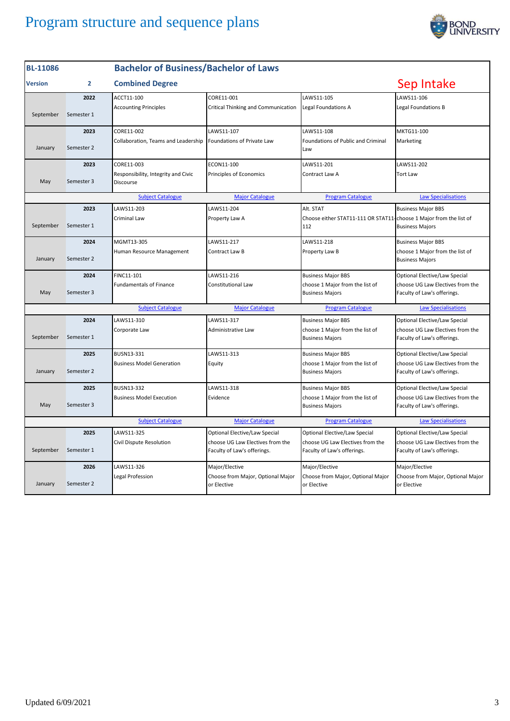

| <b>BL-11086</b> |                | <b>Bachelor of Business/Bachelor of Laws</b>     |                                                                 |                                                                           |                                                                 |
|-----------------|----------------|--------------------------------------------------|-----------------------------------------------------------------|---------------------------------------------------------------------------|-----------------------------------------------------------------|
| <b>Version</b>  | $\overline{2}$ | <b>Combined Degree</b>                           |                                                                 |                                                                           | Sep Intake                                                      |
|                 | 2022           | ACCT11-100                                       | CORE11-001                                                      | LAWS11-105                                                                | LAWS11-106                                                      |
| September       | Semester 1     | <b>Accounting Principles</b>                     | Critical Thinking and Communication                             | Legal Foundations A                                                       | Legal Foundations B                                             |
|                 | 2023           | CORE11-002                                       | LAWS11-107                                                      | LAWS11-108                                                                | MKTG11-100                                                      |
| January         | Semester 2     | Collaboration, Teams and Leadership              | Foundations of Private Law                                      | Foundations of Public and Criminal<br>Law                                 | Marketing                                                       |
|                 | 2023           | CORE11-003                                       | ECON11-100                                                      | LAWS11-201                                                                | LAWS11-202                                                      |
| May             | Semester 3     | Responsibility, Integrity and Civic<br>Discourse | Principles of Economics                                         | Contract Law A                                                            | <b>Tort Law</b>                                                 |
|                 |                | <b>Subject Catalogue</b>                         | <b>Major Catalogue</b>                                          | <b>Program Catalogue</b>                                                  | <b>Law Specialisations</b>                                      |
|                 | 2023           | LAWS11-203                                       | LAWS11-204                                                      | Alt. STAT                                                                 | <b>Business Major BBS</b>                                       |
| September       | Semester 1     | Criminal Law                                     | Property Law A                                                  | Choose either STAT11-111 OR STAT11-choose 1 Major from the list of<br>112 | <b>Business Majors</b>                                          |
|                 | 2024           | MGMT13-305                                       | LAWS11-217                                                      | LAWS11-218                                                                | <b>Business Major BBS</b>                                       |
| January         | Semester 2     | Human Resource Management                        | Contract Law B                                                  | Property Law B                                                            | choose 1 Major from the list of<br><b>Business Majors</b>       |
|                 | 2024           | FINC11-101                                       | LAWS11-216                                                      | <b>Business Major BBS</b>                                                 | Optional Elective/Law Special                                   |
| May             | Semester 3     | <b>Fundamentals of Finance</b>                   | Constitutional Law                                              | choose 1 Major from the list of<br><b>Business Majors</b>                 | choose UG Law Electives from the<br>Faculty of Law's offerings. |
|                 |                | <b>Subject Catalogue</b>                         | <b>Major Catalogue</b>                                          | <b>Program Catalogue</b>                                                  | <b>Law Specialisations</b>                                      |
|                 | 2024           | LAWS11-310                                       | LAWS11-317                                                      | <b>Business Major BBS</b>                                                 | Optional Elective/Law Special                                   |
| September       | Semester 1     | Corporate Law                                    | Administrative Law                                              | choose 1 Major from the list of<br><b>Business Majors</b>                 | choose UG Law Electives from the<br>Faculty of Law's offerings. |
|                 | 2025           | BUSN13-331                                       | LAWS11-313                                                      | <b>Business Major BBS</b>                                                 | Optional Elective/Law Special                                   |
| January         | Semester 2     | <b>Business Model Generation</b>                 | Equity                                                          | choose 1 Major from the list of<br><b>Business Majors</b>                 | choose UG Law Electives from the<br>Faculty of Law's offerings. |
|                 | 2025           | BUSN13-332                                       | LAWS11-318                                                      | <b>Business Major BBS</b>                                                 | Optional Elective/Law Special                                   |
| May             | Semester 3     | <b>Business Model Execution</b>                  | Evidence                                                        | choose 1 Major from the list of<br><b>Business Majors</b>                 | choose UG Law Electives from the<br>Faculty of Law's offerings. |
|                 |                | <b>Subject Catalogue</b>                         | <b>Major Catalogue</b>                                          | <b>Program Catalogue</b>                                                  | <b>Law Specialisations</b>                                      |
|                 | 2025           | LAWS11-325                                       | <b>Optional Elective/Law Special</b>                            | Optional Elective/Law Special                                             | Optional Elective/Law Special                                   |
| September       | Semester 1     | Civil Dispute Resolution                         | choose UG Law Electives from the<br>Faculty of Law's offerings. | choose UG Law Electives from the<br>Faculty of Law's offerings.           | choose UG Law Electives from the<br>Faculty of Law's offerings. |
|                 | 2026           | LAWS11-326                                       | Major/Elective                                                  | Major/Elective                                                            | Major/Elective                                                  |
| January         | Semester 2     | Legal Profession                                 | Choose from Major, Optional Major<br>or Elective                | Choose from Major, Optional Major<br>or Elective                          | Choose from Major, Optional Major<br>or Elective                |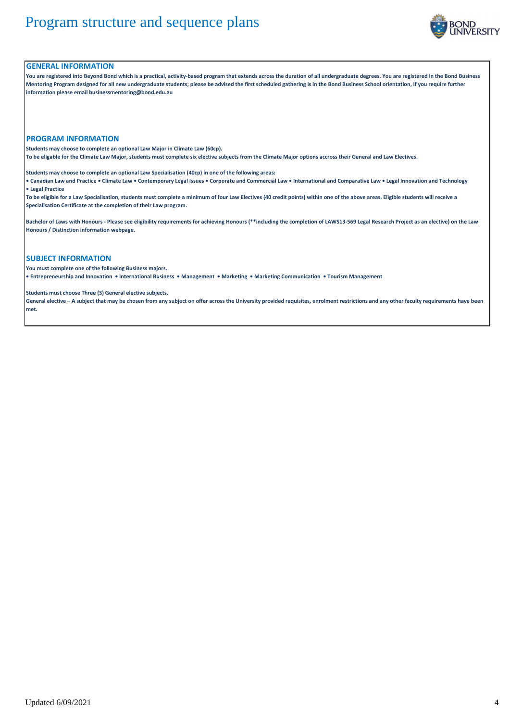

### **GENERAL INFORMATION**

**You are registered into Beyond Bond which is a practical, activity-based program that extends across the duration of all undergraduate degrees. You are registered in the Bond Business Mentoring Program designed for all new undergraduate students; please be advised the first scheduled gathering is in the Bond Business School orientation, If you require further information please email businessmentoring@bond.edu.au**

#### **PROGRAM INFORMATION**

**Students may choose to complete an optional Law Major in Climate Law (60cp).** 

**To be eligable for the Climate Law Major, students must complete six elective subjects from the Climate Major options accross their General and Law Electives.**

**Students may choose to complete an optional Law Specialisation (40cp) in one of the following areas:**

**• Canadian Law and Practice • Climate Law • Contemporary Legal Issues • Corporate and Commercial Law • International and Comparative Law • Legal Innovation and Technology • Legal Practice**

**To be eligible for a Law Specialisation, students must complete a minimum of four Law Electives (40 credit points) within one of the above areas. Eligible students will receive a Specialisation Certificate at the completion of their Law program.**

**Bachelor of Laws with Honours - Please see eligibility requirements for achieving Honours (\*\*including the completion of LAWS13-569 Legal Research Project as an elective) on the Law Honours / Distinction information webpage.**

### **SUBJECT INFORMATION**

**You must complete one of the following Business majors.** 

**• Entrepreneurship and Innovation • International Business • Management • Marketing • Marketing Communication • Tourism Management**

**Students must choose Three (3) General elective subjects.**

**General elective – A subject that may be chosen from any subject on offer across the University provided requisites, enrolment restrictions and any other faculty requirements have been met.**